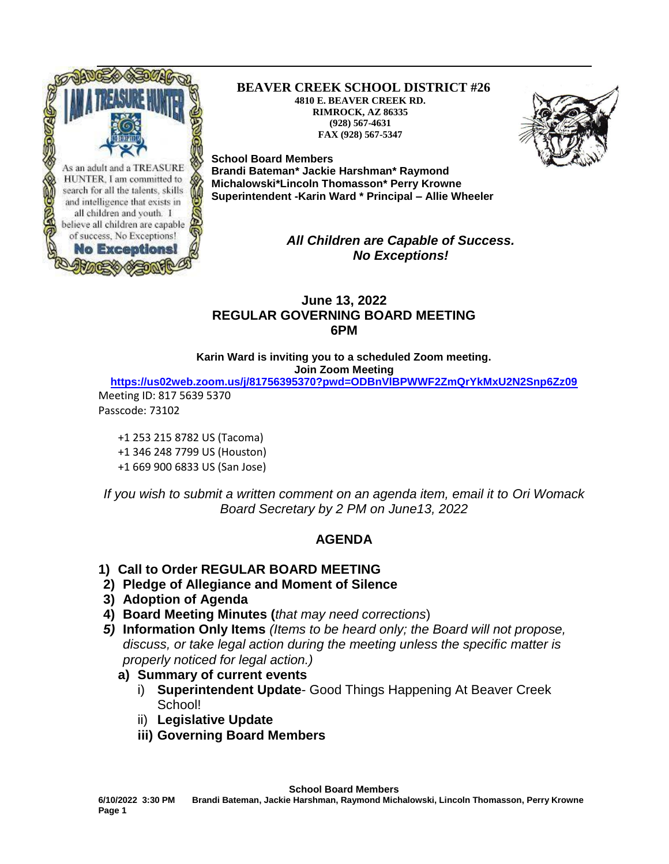

**BEAVER CREEK SCHOOL DISTRICT #26 4810 E. BEAVER CREEK RD. RIMROCK, AZ 86335 (928) 567-4631 FAX (928) 567-5347**



**School Board Members Brandi Bateman\* Jackie Harshman\* Raymond Michalowski\*Lincoln Thomasson\* Perry Krowne Superintendent -Karin Ward \* Principal – Allie Wheeler**

> *All Children are Capable of Success. No Exceptions!*

#### **June 13, 2022 REGULAR GOVERNING BOARD MEETING 6PM**

**Karin Ward is inviting you to a scheduled Zoom meeting. Join Zoom Meeting**

**<https://us02web.zoom.us/j/81756395370?pwd=ODBnVlBPWWF2ZmQrYkMxU2N2Snp6Zz09>**

Meeting ID: 817 5639 5370 Passcode: 73102

> +1 253 215 8782 US (Tacoma) +1 346 248 7799 US (Houston) +1 669 900 6833 US (San Jose)

*If you wish to submit a written comment on an agenda item, email it to Ori Womack Board Secretary by 2 PM on June13, 2022*

## **AGENDA**

- **1) Call to Order REGULAR BOARD MEETING**
- **2) Pledge of Allegiance and Moment of Silence**
- **3) Adoption of Agenda**
- **4) Board Meeting Minutes (***that may need corrections*)
- *5)* **Information Only Items** *(Items to be heard only; the Board will not propose, discuss, or take legal action during the meeting unless the specific matter is properly noticed for legal action.)*
	- **a) Summary of current events**
		- i) **Superintendent Update** Good Things Happening At Beaver Creek School!
		- ii) **Legislative Update**
		- **iii) Governing Board Members**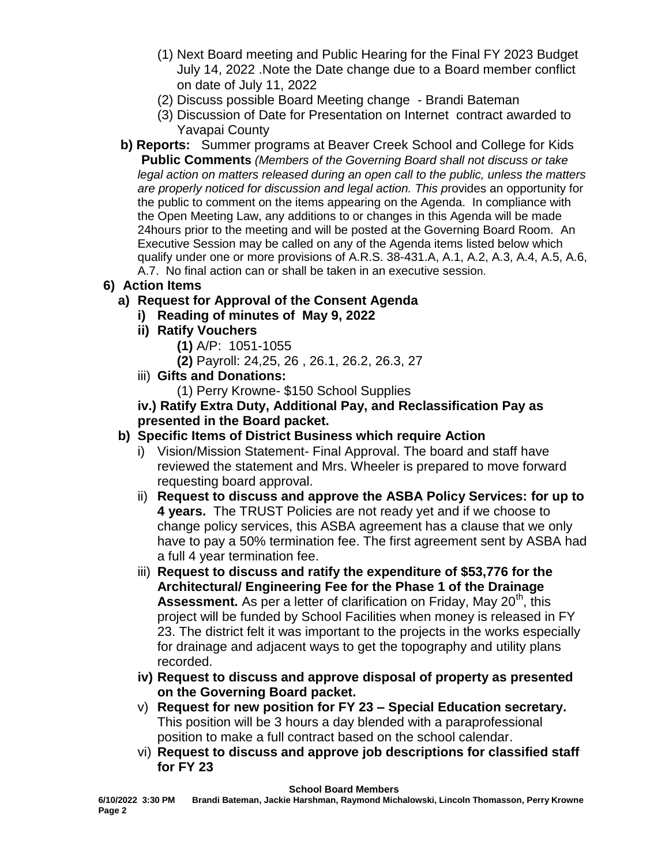- (1) Next Board meeting and Public Hearing for the Final FY 2023 Budget July 14, 2022 .Note the Date change due to a Board member conflict on date of July 11, 2022
- (2) Discuss possible Board Meeting change Brandi Bateman
- (3) Discussion of Date for Presentation on Internet contract awarded to Yavapai County
- **b) Reports:** Summer programs at Beaver Creek School and College for Kids **Public Comments** *(Members of the Governing Board shall not discuss or take legal action on matters released during an open call to the public, unless the matters are properly noticed for discussion and legal action. This p*rovides an opportunity for the public to comment on the items appearing on the Agenda. In compliance with the Open Meeting Law, any additions to or changes in this Agenda will be made 24hours prior to the meeting and will be posted at the Governing Board Room. An Executive Session may be called on any of the Agenda items listed below which qualify under one or more provisions of A.R.S. 38-431.A, A.1, A.2, A.3, A.4, A.5, A.6, A.7. No final action can or shall be taken in an executive session.
- **6) Action Items**
	- **a) Request for Approval of the Consent Agenda**
		- **i) Reading of minutes of May 9, 2022**
		- **ii) Ratify Vouchers**
			- **(1)** A/P: 1051-1055
			- **(2)** Payroll: 24,25, 26 , 26.1, 26.2, 26.3, 27
		- iii) **Gifts and Donations:** 
			- (1) Perry Krowne- \$150 School Supplies

#### **iv.) Ratify Extra Duty, Additional Pay, and Reclassification Pay as presented in the Board packet.**

- **b) Specific Items of District Business which require Action**
	- i) Vision/Mission Statement- Final Approval. The board and staff have reviewed the statement and Mrs. Wheeler is prepared to move forward requesting board approval.
	- ii) **Request to discuss and approve the ASBA Policy Services: for up to 4 years.** The TRUST Policies are not ready yet and if we choose to change policy services, this ASBA agreement has a clause that we only have to pay a 50% termination fee. The first agreement sent by ASBA had a full 4 year termination fee.
	- iii) **Request to discuss and ratify the expenditure of \$53,776 for the Architectural/ Engineering Fee for the Phase 1 of the Drainage Assessment.** As per a letter of clarification on Friday, May 20<sup>th</sup>, this project will be funded by School Facilities when money is released in FY 23. The district felt it was important to the projects in the works especially for drainage and adjacent ways to get the topography and utility plans recorded.
	- **iv) Request to discuss and approve disposal of property as presented on the Governing Board packet.**
	- v) **Request for new position for FY 23 – Special Education secretary.**  This position will be 3 hours a day blended with a paraprofessional position to make a full contract based on the school calendar.
	- vi) **Request to discuss and approve job descriptions for classified staff for FY 23**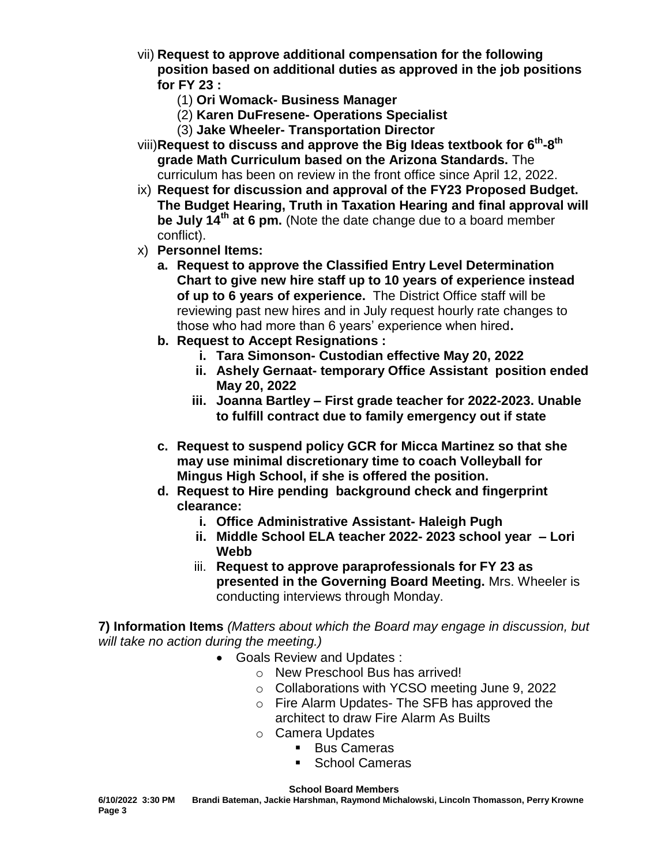- vii) **Request to approve additional compensation for the following position based on additional duties as approved in the job positions for FY 23 :**
	- (1) **Ori Womack- Business Manager**
	- (2) **Karen DuFresene- Operations Specialist**
	- (3) **Jake Wheeler- Transportation Director**
- viii)**Request to discuss and approve the Big Ideas textbook for 6th -8 th grade Math Curriculum based on the Arizona Standards.** The curriculum has been on review in the front office since April 12, 2022.
- ix) **Request for discussion and approval of the FY23 Proposed Budget. The Budget Hearing, Truth in Taxation Hearing and final approval will be July 14th at 6 pm.** (Note the date change due to a board member conflict).
- x) **Personnel Items:**
	- **a. Request to approve the Classified Entry Level Determination Chart to give new hire staff up to 10 years of experience instead of up to 6 years of experience.** The District Office staff will be reviewing past new hires and in July request hourly rate changes to those who had more than 6 years' experience when hired**.**
	- **b. Request to Accept Resignations :** 
		- **i. Tara Simonson- Custodian effective May 20, 2022**
			- **ii. Ashely Gernaat- temporary Office Assistant position ended May 20, 2022**
		- **iii. Joanna Bartley – First grade teacher for 2022-2023. Unable to fulfill contract due to family emergency out if state**
	- **c. Request to suspend policy GCR for Micca Martinez so that she may use minimal discretionary time to coach Volleyball for Mingus High School, if she is offered the position.**
	- **d. Request to Hire pending background check and fingerprint clearance:** 
		- **i. Office Administrative Assistant- Haleigh Pugh**
		- **ii. Middle School ELA teacher 2022- 2023 school year – Lori Webb**
		- iii. **Request to approve paraprofessionals for FY 23 as presented in the Governing Board Meeting.** Mrs. Wheeler is conducting interviews through Monday.

**7) Information Items** *(Matters about which the Board may engage in discussion, but will take no action during the meeting.)*

- Goals Review and Updates :
	- o New Preschool Bus has arrived!
	- o Collaborations with YCSO meeting June 9, 2022
	- o Fire Alarm Updates- The SFB has approved the architect to draw Fire Alarm As Builts
	- o Camera Updates
		- **Bus Cameras**
		- School Cameras

**School Board Members** 

**6/10/2022 3:30 PM Brandi Bateman, Jackie Harshman, Raymond Michalowski, Lincoln Thomasson, Perry Krowne Page 3**